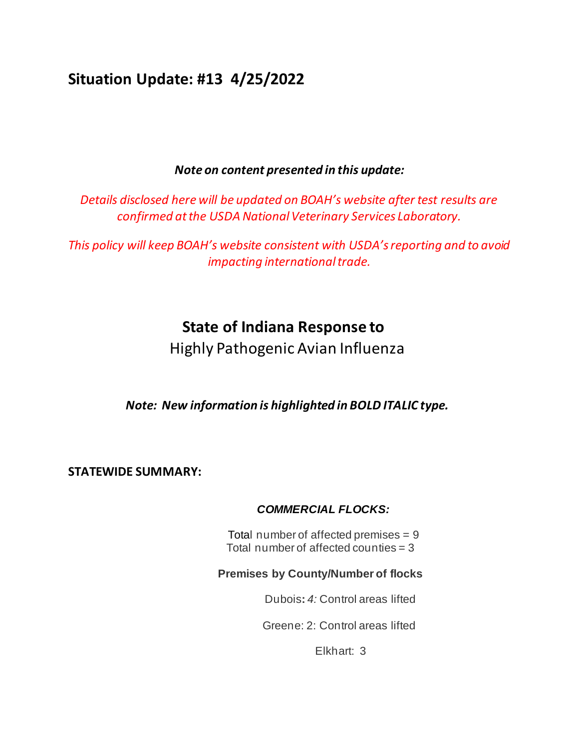# **Situation Update: #13 4/25/2022**

## *Note on content presented in this update:*

*Details disclosed here will be updated on BOAH's website after test results are confirmed at the USDA National Veterinary Services Laboratory.*

*This policy will keep BOAH's website consistent with USDA's reporting and to avoid impacting international trade.* 

# **State of Indiana Response to**

Highly Pathogenic Avian Influenza

*Note: New information is highlighted in BOLD ITALIC type.*

**STATEWIDE SUMMARY:**

## *COMMERCIAL FLOCKS:*

Total number of affected premises = 9 Total number of affected counties = 3

## **Premises by County/Number of flocks**

Dubois**:** *4:* Control areas lifted

Greene: 2: Control areas lifted

Elkhart: 3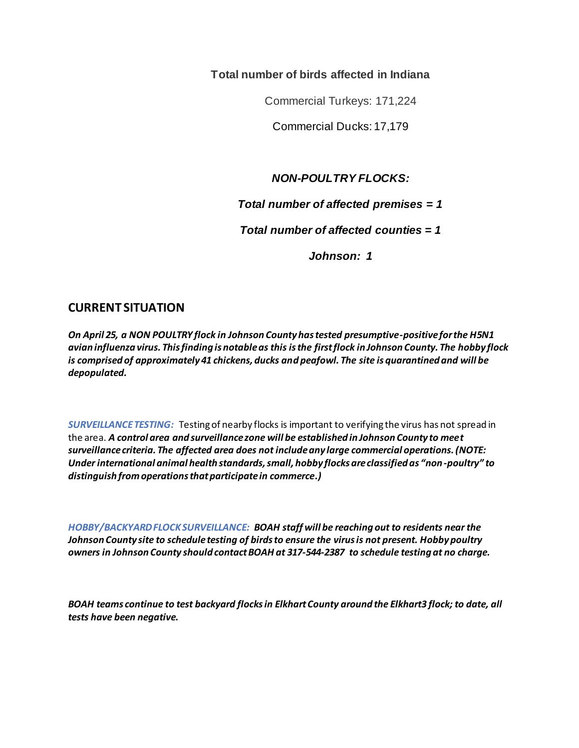**Total number of birds affected in Indiana** 

Commercial Turkeys: 171,224

Commercial Ducks: 17,179

*NON-POULTRY FLOCKS:*

*Total number of affected premises = 1*

*Total number of affected counties = 1*

*Johnson: 1*

## **CURRENT SITUATION**

*On April 25, a NON POULTRY flock in Johnson County has tested presumptive-positive for the H5N1 avian influenza virus. This finding is notable as this is the first flock in Johnson County. The hobby flock is comprised of approximately 41 chickens, ducks and peafowl. The site is quarantined and will be depopulated.* 

*SURVEILLANCE TESTING:* Testing of nearby flocks is important to verifying the virus has not spread in the area. *A control area and surveillance zone will be established in Johnson County to meet surveillance criteria. The affected area does not include any large commercial operations. (NOTE: Under international animal health standards, small, hobby flocks are classified as "non-poultry" to distinguish from operations that participate in commerce.)*

*HOBBY/BACKYARD FLOCK SURVEILLANCE: BOAH staff will be reaching out to residents near the Johnson County site to schedule testing of birds to ensure the virus is not present. Hobby poultry owners in Johnson County should contact BOAH at 317-544-2387 to schedule testing at no charge.*

*BOAH teams continue to test backyard flocks in Elkhart County around the Elkhart3 flock; to date, all tests have been negative.*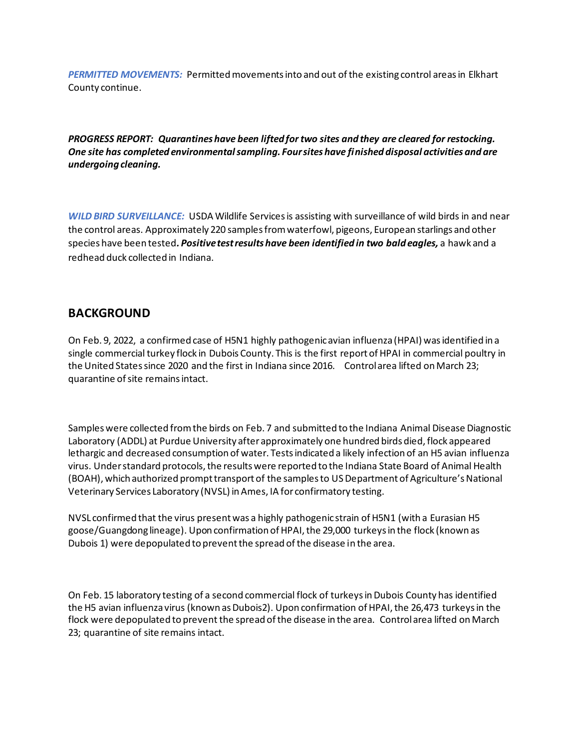*PERMITTED MOVEMENTS:* Permitted movements into and out of the existing control areas in Elkhart County continue.

*PROGRESS REPORT: Quarantines have been lifted for two sites and they are cleared for restocking. One site has completed environmental sampling. Four sites have finished disposal activities and are undergoing cleaning.*

*WILD BIRD SURVEILLANCE:* USDA Wildlife Services is assisting with surveillance of wild birds in and near the control areas. Approximately 220 samples from waterfowl, pigeons, European starlings and other species have been tested*. Positive test results have been identified in two bald eagles,* a hawk and a redhead duck collected in Indiana.

#### **BACKGROUND**

On Feb. 9, 2022, a confirmed case of H5N1 highly pathogenic avian influenza (HPAI) was identified in a single commercial turkey flock in Dubois County. This is the first report of HPAI in commercial poultry in the United States since 2020 and the first in Indiana since 2016. Control area lifted on March 23; quarantine of site remains intact.

Samples were collected from the birds on Feb. 7 and submitted to the Indiana Animal Disease Diagnostic Laboratory (ADDL) at Purdue University after approximately one hundred birds died, flock appeared lethargic and decreased consumption of water. Tests indicated a likely infection of an H5 avian influenza virus. Under standard protocols, the results were reported to the Indiana State Board of Animal Health (BOAH), which authorized prompt transport of the samples to US Department of Agriculture's National Veterinary Services Laboratory (NVSL) in Ames, IA for confirmatory testing.

NVSL confirmed that the virus present was a highly pathogenic strain of H5N1 (with a Eurasian H5 goose/Guangdong lineage). Upon confirmation of HPAI, the 29,000 turkeys in the flock (known as Dubois 1) were depopulated to prevent the spread of the disease in the area.

On Feb. 15 laboratory testing of a second commercial flock of turkeys in Dubois County has identified the H5 avian influenza virus (known as Dubois2). Upon confirmation of HPAI, the 26,473 turkeys in the flock were depopulated to prevent the spread of the disease in the area. Control area lifted on March 23; quarantine of site remains intact.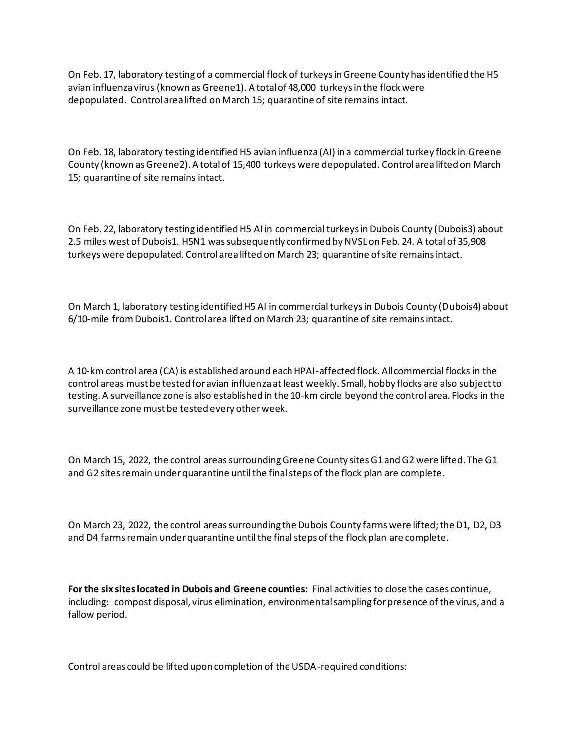On Feb. 17, laboratory testing of a commercial flock of turkeys in Greene County has identified the H5 avian influenza virus (known as Greene1). A total of 48,000 turkeys in the flock were depopulated. Control area lifted on March 15; quarantine of site remains intact.

On Feb. 18, laboratory testing identified H5 avian influenza (AI) in a commercial turkey flock in Greene County (known as Greene2). A total of 15,400 turkeys were depopulated. Control area lifted on March 15; quarantine of site remains intact.

On Feb. 22, laboratory testing identified H5 AI in commercial turkeys in Dubois County (Dubois3) about 2.5 miles west of Dubois1. H5N1 was subsequently confirmed by NVSL on Feb. 24. A total of 35,908 turkeys were depopulated. Control area lifted on March 23; quarantine of site remains intact.

On March 1, laboratory testing identified H5 AI in commercial turkeys in Dubois County (Dubois4) about 6/10-mile from Dubois1. Control area lifted on March 23; quarantine of site remains intact.

A 10-km control area (CA) is established around each HPAI-affected flock. All commercial flocks in the control areas must be tested for avian influenza at least weekly. Small, hobby flocks are also subject to testing. A surveillance zone is also established in the 10-km circle beyond the control area. Flocks in the surveillance zone must be tested every other week.

On March 15, 2022, the control areas surrounding Greene County sites G1 and G2 were lifted. The G1 and G2 sites remain under quarantine until the final steps of the flock plan are complete.

On March 23, 2022, the control areas surrounding the Dubois County farms were lifted; the D1, D2, D3 and D4 farms remain under quarantine until the final steps of the flock plan are complete.

**For the six sites located in Dubois and Greene counties:** Final activities to close the cases continue, including: compost disposal, virus elimination, environmental sampling for presence of the virus, and a fallow period.

Control areas could be lifted upon completion of the USDA-required conditions: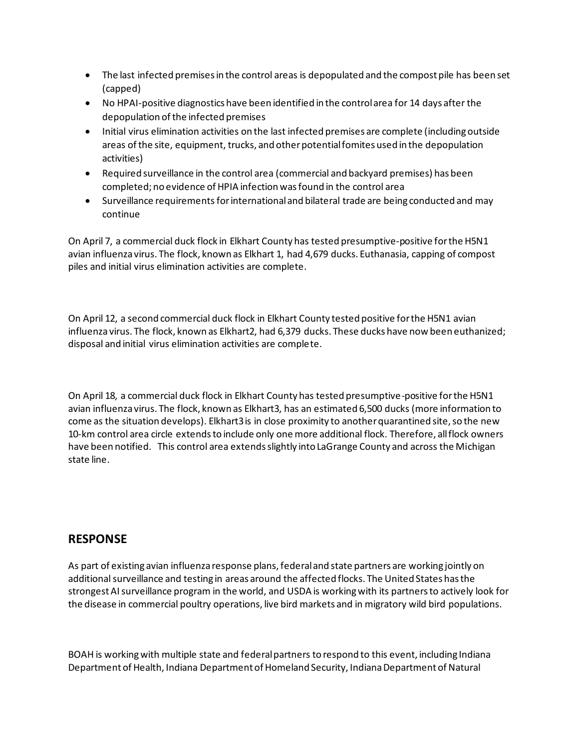- The last infected premises in the control areas is depopulated and the compost pile has been set (capped)
- No HPAI-positive diagnostics have been identified in the control area for 14 days after the depopulation of the infected premises
- Initial virus elimination activities on the last infected premises are complete (including outside areas of the site, equipment, trucks, and other potential fomites used in the depopulation activities)
- Required surveillance in the control area (commercial and backyard premises) has been completed; no evidence of HPIA infection was found in the control area
- Surveillance requirements for international and bilateral trade are being conducted and may continue

On April 7, a commercial duck flock in Elkhart County has tested presumptive-positive for the H5N1 avian influenza virus. The flock, known as Elkhart 1, had 4,679 ducks. Euthanasia, capping of compost piles and initial virus elimination activities are complete.

On April 12, a second commercial duck flock in Elkhart County tested positive for the H5N1 avian influenza virus. The flock, known as Elkhart2, had 6,379 ducks. These ducks have now been euthanized; disposal and initial virus elimination activities are complete.

On April 18, a commercial duck flock in Elkhart County has tested presumptive-positive for the H5N1 avian influenza virus. The flock, known as Elkhart3, has an estimated 6,500 ducks (more information to come as the situation develops). Elkhart3 is in close proximity to another quarantined site, so the new 10-km control area circle extends to include only one more additional flock. Therefore, all flock owners have been notified. This control area extends slightly into LaGrange County and across the Michigan state line.

## **RESPONSE**

As part of existing avian influenza response plans, federal and state partners are working jointly on additional surveillance and testing in areas around the affected flocks. The United States has the strongest AI surveillance program in the world, and USDA is working with its partners to actively look for the disease in commercial poultry operations, live bird markets and in migratory wild bird populations.

BOAH is working with multiple state and federal partners to respond to this event, including Indiana Department of Health, Indiana Department of Homeland Security, Indiana Department of Natural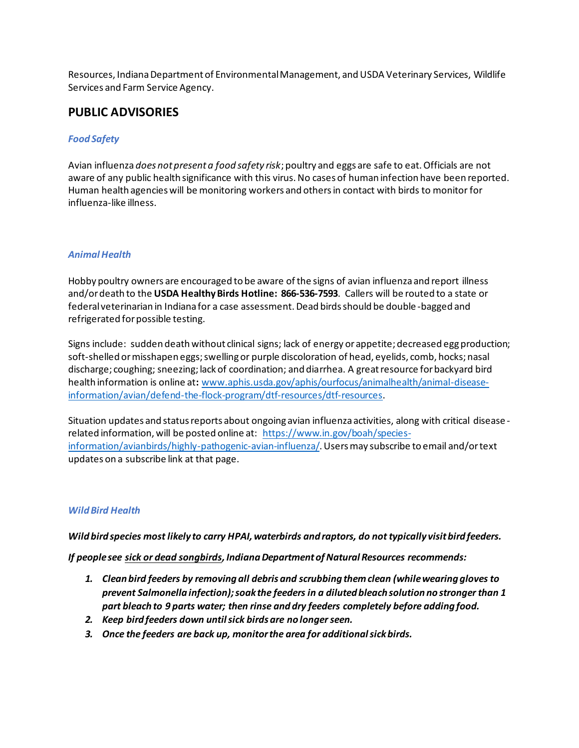Resources, Indiana Department of Environmental Management, and USDA Veterinary Services, Wildlife Services and Farm Service Agency.

#### **PUBLIC ADVISORIES**

#### *Food Safety*

Avian influenza *does not present a food safety risk*; poultry and eggs are safe to eat. Officials are not aware of any public health significance with this virus. No cases of human infection have been reported. Human health agencies will be monitoring workers and others in contact with birds to monitor for influenza-like illness.

#### *Animal Health*

Hobby poultry owners are encouraged to be aware of the signs of avian influenza and report illness and/or death to the **USDA Healthy Birds Hotline: 866-536-7593**. Callers will be routed to a state or federal veterinarian in Indiana for a case assessment. Dead birds should be double -bagged and refrigerated for possible testing.

Signs include: sudden death without clinical signs; lack of energy or appetite; decreased egg production; soft-shelled or misshapen eggs; swelling or purple discoloration of head, eyelids, comb, hocks; nasal discharge; coughing; sneezing; lack of coordination; and diarrhea. A great resource for backyard bird health information is online at**:** www.aphis.usda.gov/aphis/ourfocus/animalhealth/animal-diseaseinformation/avian/defend-the-flock-program/dtf-resources/dtf-resources.

Situation updates and status reports about ongoing avian influenza activities, along with critical disease related information, will be posted online at: https://www.in.gov/boah/speciesinformation/avianbirds/highly-pathogenic-avian-influenza/. Users may subscribe to email and/or text updates on a subscribe link at that page.

#### *Wild Bird Health*

*Wild bird species most likely to carry HPAI, waterbirds and raptors, do not typically visit bird feeders.* 

*If people see sick or dead songbirds, Indiana Department of Natural Resources recommends:*

- *1. Clean bird feeders by removing all debris and scrubbing them clean (while wearing gloves to prevent Salmonella infection); soak the feeders in a diluted bleach solution no stronger than 1 part bleach to 9 parts water; then rinse and dry feeders completely before adding food.*
- *2. Keep bird feeders down until sick birds are no longer seen.*
- *3. Once the feeders are back up, monitor the area for additional sick birds.*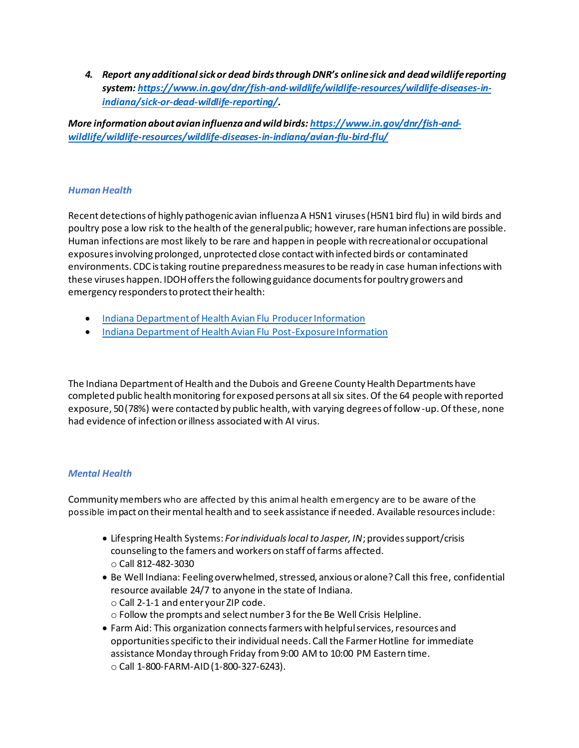*4. Report any additional sick or dead birds through DNR's online sick and dead wildlife reporting system: https://www.in.gov/dnr/fish-and-wildlife/wildlife-resources/wildlife-diseases-inindiana/sick-or-dead-wildlife-reporting/.*

*More information about avian influenza and wild birds: https://www.in.gov/dnr/fish-andwildlife/wildlife-resources/wildlife-diseases-in-indiana/avian-flu-bird-flu/*

#### *HumanHealth*

Recent detections of highly pathogenic avian influenza A H5N1 viruses (H5N1 bird flu) in wild birds and poultry pose a low risk to the health of the general public; however, rare human infections are possible. Human infections are most likely to be rare and happen in people with recreational or occupational exposures involving prolonged, unprotected close contact with infected birds or contaminated environments. CDC is taking routine preparedness measures to be ready in case human infections with these viruses happen. IDOH offers the following guidance documents for poultry growers and emergency responders to protect their health:

- Indiana Department of Health Avian Flu Producer Information
- Indiana Department of Health Avian Flu Post-Exposure Information

The Indiana Department of Health and the Dubois and Greene County Health Departments have completed public health monitoring for exposed persons at all six sites. Of the 64 people with reported exposure, 50 (78%) were contacted by public health, with varying degrees of follow-up. Of these, none had evidence of infection or illness associated with AI virus.

#### *Mental Health*

Community members who are affected by this animal health emergency are to be aware of the possible impact on their mental health and to seek assistance if needed. Available resources include:

- Lifespring Health Systems: *For individuals local to Jasper, IN*; provides support/crisis counseling to the famers and workers on staff of farms affected. o Call 812-482-3030
- Be Well Indiana: Feeling overwhelmed, stressed, anxious or alone? Call this free, confidential resource available 24/7 to anyone in the state of Indiana. o Call 2-1-1 and enter your ZIP code. o Follow the prompts and select number 3 for the Be Well Crisis Helpline.
- Farm Aid: This organization connects farmers with helpful services, resources and opportunities specific to their individual needs. Call the Farmer Hotline for immediate assistance Monday through Friday from 9:00 AM to 10:00 PM Eastern time. o Call 1-800-FARM-AID (1-800-327-6243).